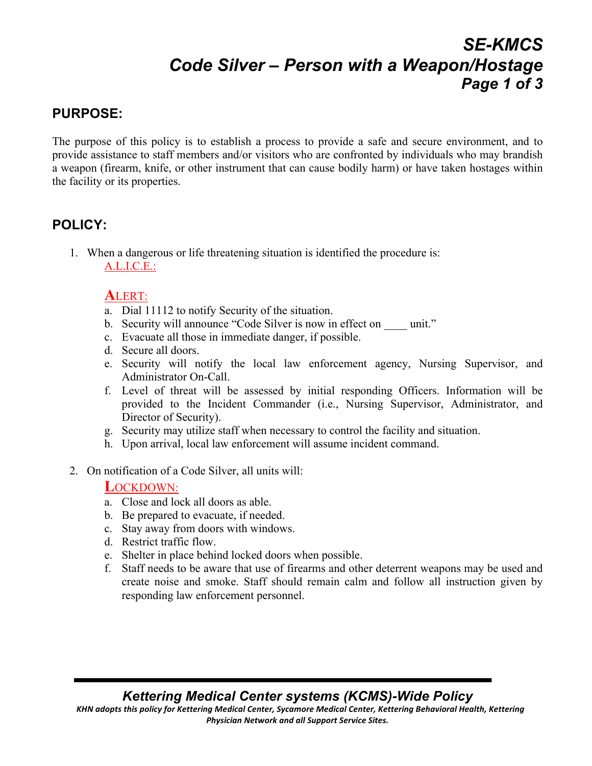# *SE-KMCS Code Silver – Person with a Weapon/Hostage Page 1 of 3*

## **PURPOSE:**

The purpose of this policy is to establish a process to provide a safe and secure environment, and to provide assistance to staff members and/or visitors who are confronted by individuals who may brandish a weapon (firearm, knife, or other instrument that can cause bodily harm) or have taken hostages within the facility or its properties.

## **POLICY:**

1. When a dangerous or life threatening situation is identified the procedure is: A.L.I.C.E.:

### **A**LERT:

- a. Dial 11112 to notify Security of the situation.
- b. Security will announce "Code Silver is now in effect on unit."
- c. Evacuate all those in immediate danger, if possible.
- d. Secure all doors.
- e. Security will notify the local law enforcement agency, Nursing Supervisor, and Administrator On-Call.
- f. Level of threat will be assessed by initial responding Officers. Information will be provided to the Incident Commander (i.e., Nursing Supervisor, Administrator, and Director of Security).
- g. Security may utilize staff when necessary to control the facility and situation.
- h. Upon arrival, local law enforcement will assume incident command.
- 2. On notification of a Code Silver, all units will:

### **L**OCKDOWN:

- a. Close and lock all doors as able.
- b. Be prepared to evacuate, if needed.
- c. Stay away from doors with windows.
- d. Restrict traffic flow.
- e. Shelter in place behind locked doors when possible.
- f. Staff needs to be aware that use of firearms and other deterrent weapons may be used and create noise and smoke. Staff should remain calm and follow all instruction given by responding law enforcement personnel.

### *Kettering Medical Center systems (KCMS)-Wide Policy*

KHN adopts this policy for Kettering Medical Center, Sycamore Medical Center, Kettering Behavioral Health, Kettering **Physician Network and all Support Service Sites.**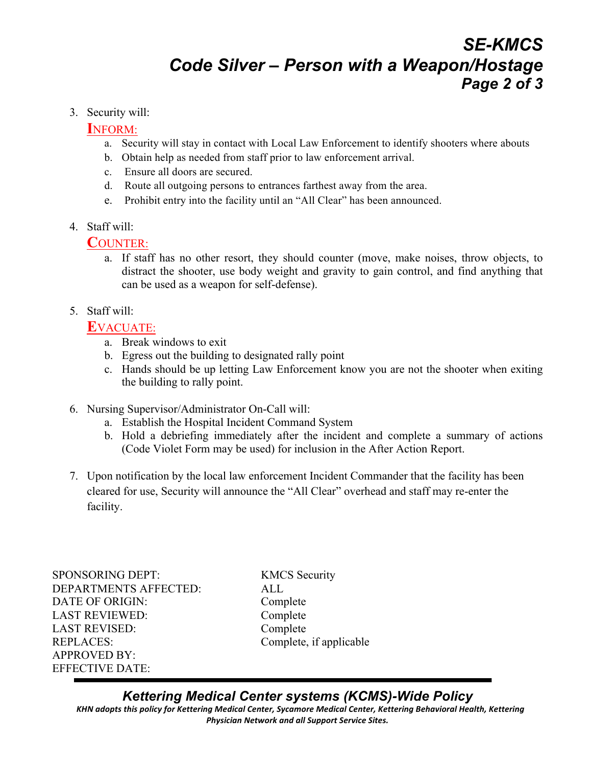## *SE-KMCS Code Silver – Person with a Weapon/Hostage Page 2 of 3*

#### 3. Security will:

### **I**NFORM:

- a. Security will stay in contact with Local Law Enforcement to identify shooters where abouts
- b. Obtain help as needed from staff prior to law enforcement arrival.
- c. Ensure all doors are secured.
- d. Route all outgoing persons to entrances farthest away from the area.
- e. Prohibit entry into the facility until an "All Clear" has been announced.
- 4. Staff will:

### **C**OUNTER:

- a. If staff has no other resort, they should counter (move, make noises, throw objects, to distract the shooter, use body weight and gravity to gain control, and find anything that can be used as a weapon for self-defense).
- 5. Staff will:

### **E**VACUATE:

- a. Break windows to exit
- b. Egress out the building to designated rally point
- c. Hands should be up letting Law Enforcement know you are not the shooter when exiting the building to rally point.
- 6. Nursing Supervisor/Administrator On-Call will:
	- a. Establish the Hospital Incident Command System
	- b. Hold a debriefing immediately after the incident and complete a summary of actions (Code Violet Form may be used) for inclusion in the After Action Report.
- 7. Upon notification by the local law enforcement Incident Commander that the facility has been cleared for use, Security will announce the "All Clear" overhead and staff may re-enter the facility.

SPONSORING DEPT: KMCS Security DEPARTMENTS AFFECTED: ALL DATE OF ORIGIN: Complete LAST REVIEWED: Complete LAST REVISED: Complete REPLACES: Complete, if applicable APPROVED BY: EFFECTIVE DATE:

*Kettering Medical Center systems (KCMS)-Wide Policy* KHN adopts this policy for Kettering Medical Center, Sycamore Medical Center, Kettering Behavioral Health, Kettering **Physician Network and all Support Service Sites.**